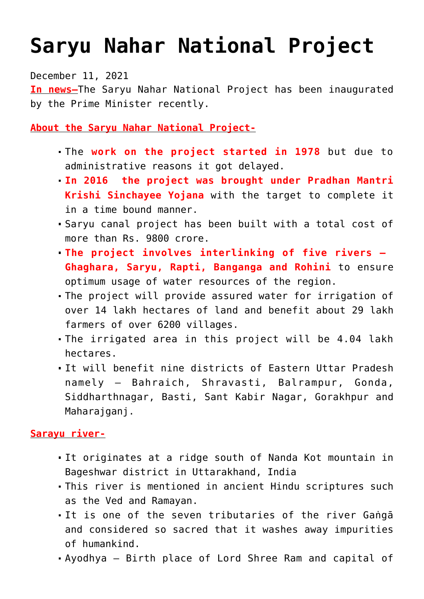## **[Saryu Nahar National Project](https://journalsofindia.com/saryu-nahar-national-project/)**

December 11, 2021

**In news–**The Saryu Nahar National Project has been inaugurated by the Prime Minister recently.

**About the Saryu Nahar National Project-**

- The **work on the project started in 1978** but due to administrative reasons it got delayed.
- **In 2016 the project was brought under Pradhan Mantri Krishi Sinchayee Yojana** with the target to complete it in a time bound manner.
- Saryu canal project has been built with a total cost of more than Rs. 9800 crore.
- **The project involves interlinking of five rivers – Ghaghara, Saryu, Rapti, Banganga and Rohini** to ensure optimum usage of water resources of the region.
- The project will provide assured water for irrigation of over 14 lakh hectares of land and benefit about 29 lakh farmers of over 6200 villages.
- The irrigated area in this project will be 4.04 lakh hectares.
- It will benefit nine districts of Eastern Uttar Pradesh namely – Bahraich, Shravasti, Balrampur, Gonda, Siddharthnagar, Basti, Sant Kabir Nagar, Gorakhpur and Maharajganj.

## **Sarayu river-**

- It originates at a ridge south of Nanda Kot mountain in Bageshwar district in Uttarakhand, India
- This river is mentioned in ancient Hindu scriptures such as the Ved and Ramayan.
- It is one of the seven tributaries of the river Gaṅgā and considered so sacred that it washes away impurities of humankind.
- Ayodhya Birth place of Lord Shree Ram and capital of